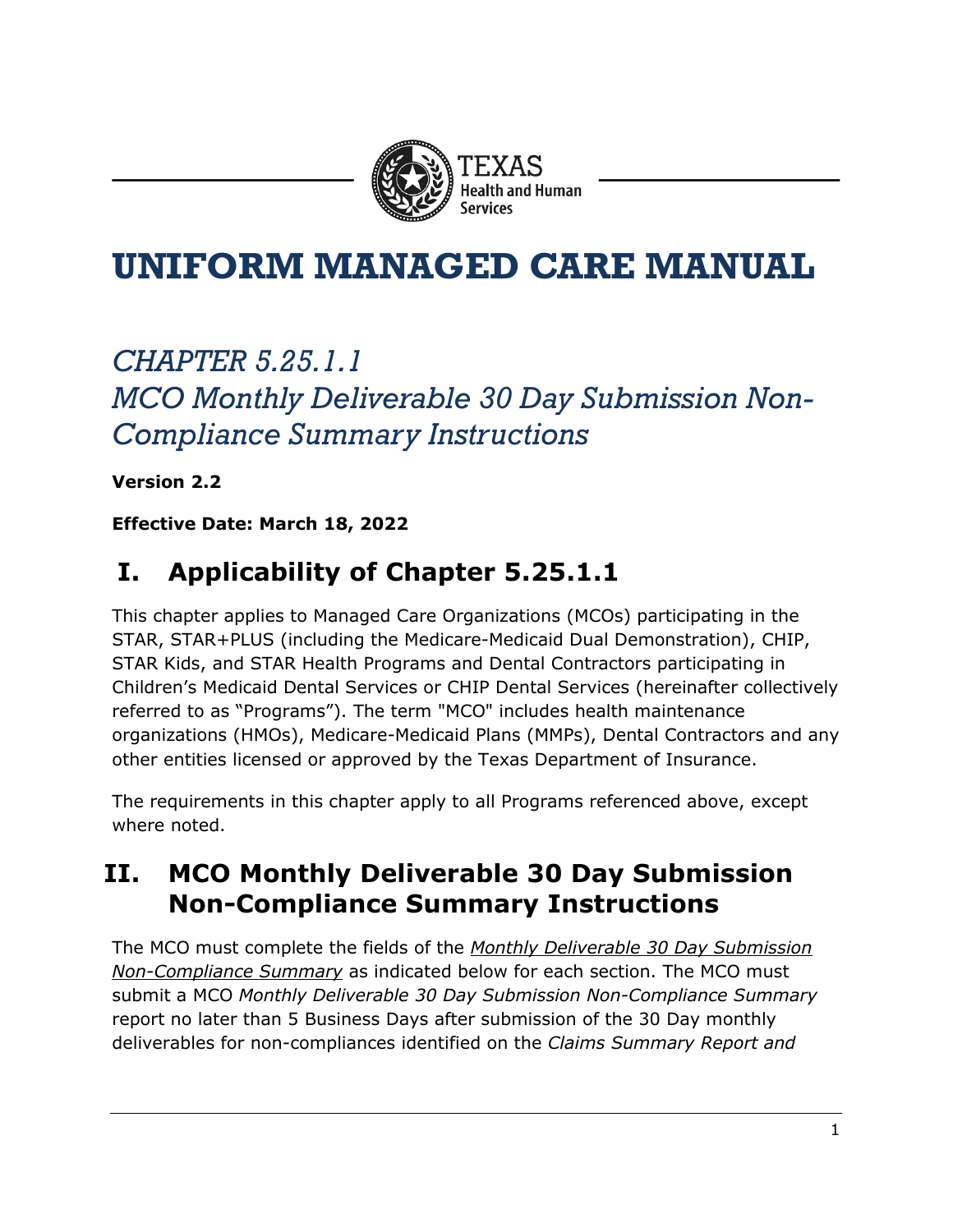

# **UNIFORM MANAGED CARE MANUAL**

# *CHAPTER 5.25.1.1 MCO Monthly Deliverable 30 Day Submission Non-Compliance Summary Instructions*

**Version 2.2**

### **Effective Date: March 18, 2022**

## **I. Applicability of Chapter 5.25.1.1**

This chapter applies to Managed Care Organizations (MCOs) participating in the STAR, STAR+PLUS (including the Medicare-Medicaid Dual Demonstration), CHIP, STAR Kids, and STAR Health Programs and Dental Contractors participating in Children's Medicaid Dental Services or CHIP Dental Services (hereinafter collectively referred to as "Programs"). The term "MCO" includes health maintenance organizations (HMOs), Medicare-Medicaid Plans (MMPs), Dental Contractors and any other entities licensed or approved by the Texas Department of Insurance.

The requirements in this chapter apply to all Programs referenced above, except where noted.

### **II. MCO Monthly Deliverable 30 Day Submission Non-Compliance Summary Instructions**

The MCO must complete the fields of the *Monthly Deliverable 30 Day Submission Non-Compliance Summary* as indicated below for each section. The MCO must submit a MCO *Monthly Deliverable 30 Day Submission Non-Compliance Summary* report no later than 5 Business Days after submission of the 30 Day monthly deliverables for non-compliances identified on the *Claims Summary Report and*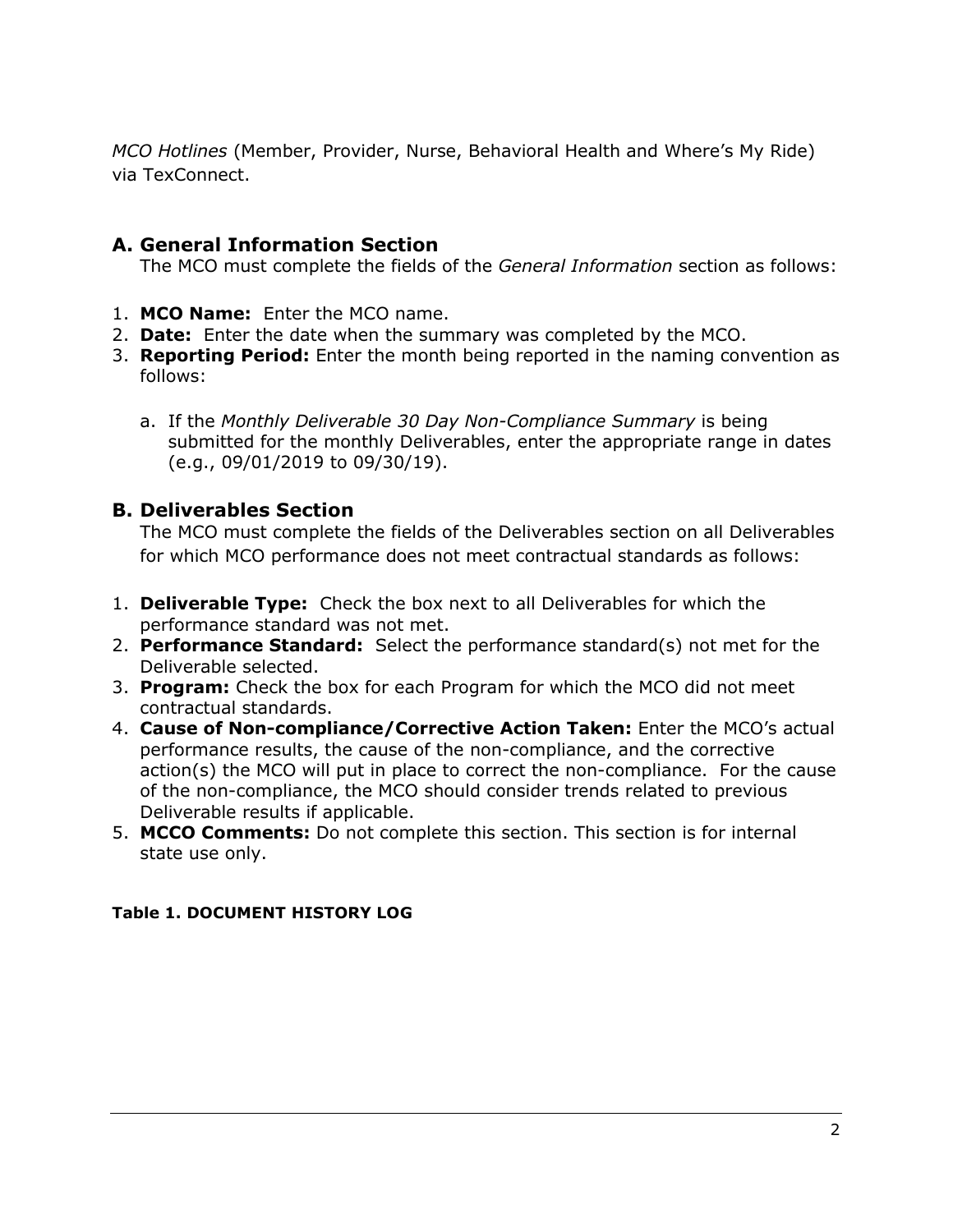*MCO Hotlines* (Member, Provider, Nurse, Behavioral Health and Where's My Ride) via TexConnect.

### **A. General Information Section**

The MCO must complete the fields of the *General Information* section as follows:

- 1. **MCO Name:** Enter the MCO name.
- 2. **Date:** Enter the date when the summary was completed by the MCO.
- 3. **Reporting Period:** Enter the month being reported in the naming convention as follows:
	- a. If the *Monthly Deliverable 30 Day Non-Compliance Summary* is being submitted for the monthly Deliverables, enter the appropriate range in dates (e.g., 09/01/2019 to 09/30/19).

### **B. Deliverables Section**

The MCO must complete the fields of the Deliverables section on all Deliverables for which MCO performance does not meet contractual standards as follows:

- 1. **Deliverable Type:** Check the box next to all Deliverables for which the performance standard was not met.
- 2. **Performance Standard:** Select the performance standard(s) not met for the Deliverable selected.
- 3. **Program:** Check the box for each Program for which the MCO did not meet contractual standards.
- 4. **Cause of Non-compliance/Corrective Action Taken:** Enter the MCO's actual performance results, the cause of the non-compliance, and the corrective action(s) the MCO will put in place to correct the non-compliance. For the cause of the non-compliance, the MCO should consider trends related to previous Deliverable results if applicable.
- 5. **MCCO Comments:** Do not complete this section. This section is for internal state use only.

#### **Table 1. DOCUMENT HISTORY LOG**